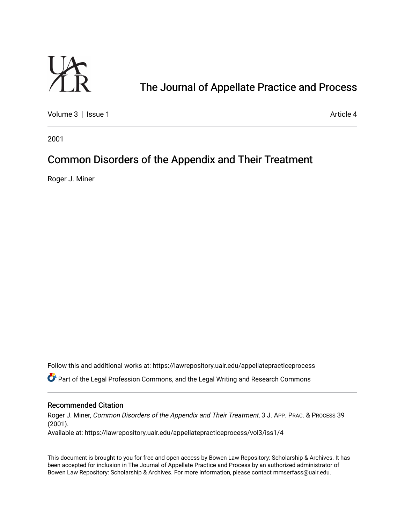

# [The Journal of Appellate Practice and Process](https://lawrepository.ualr.edu/appellatepracticeprocess)

[Volume 3](https://lawrepository.ualr.edu/appellatepracticeprocess/vol3) | [Issue 1](https://lawrepository.ualr.edu/appellatepracticeprocess/vol3/iss1) Article 4

2001

## Common Disorders of the Appendix and Their Treatment

Roger J. Miner

Follow this and additional works at: [https://lawrepository.ualr.edu/appellatepracticeprocess](https://lawrepository.ualr.edu/appellatepracticeprocess?utm_source=lawrepository.ualr.edu%2Fappellatepracticeprocess%2Fvol3%2Fiss1%2F4&utm_medium=PDF&utm_campaign=PDFCoverPages) 

**C** Part of the [Legal Profession Commons](http://network.bepress.com/hgg/discipline/1075?utm_source=lawrepository.ualr.edu%2Fappellatepracticeprocess%2Fvol3%2Fiss1%2F4&utm_medium=PDF&utm_campaign=PDFCoverPages), and the Legal Writing and Research Commons

#### Recommended Citation

Roger J. Miner, Common Disorders of the Appendix and Their Treatment, 3 J. APP. PRAC. & PROCESS 39 (2001). Available at: https://lawrepository.ualr.edu/appellatepracticeprocess/vol3/iss1/4

This document is brought to you for free and open access by [Bowen Law Repository: Scholarship & Archives.](macro%20site.link) It has been accepted for inclusion in The Journal of Appellate Practice and Process by an authorized administrator of Bowen Law Repository: Scholarship & Archives. For more information, please contact [mmserfass@ualr.edu.](mailto:mmserfass@ualr.edu)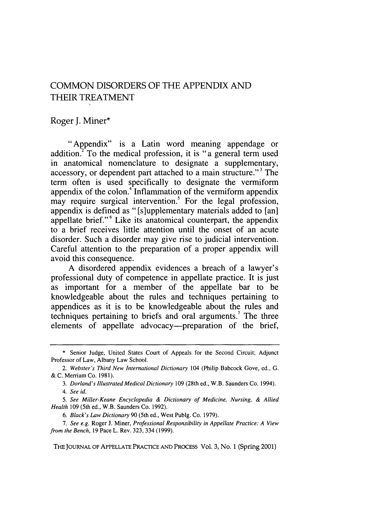## COMMON DISORDERS OF THE APPENDIX AND THEIR TREATMENT

### Roger J. Miner\*

"Appendix" is a Latin word meaning appendage or addition.<sup>2</sup> To the medical profession, it is "a general term used in anatomical nomenclature to designate a supplementary, accessory, or dependent part attached to a main structure."<sup>3</sup> The term often is used specifically to designate the vermiform appendix of the colon.<sup>4</sup> Inflammation of the vermiform appendix  $\frac{1}{2}$  may require surgical intervention.<sup>5</sup> For the legal profession, appendix is defined as "[s]upplementary materials added to [an] appellate brief."6 Like its anatomical counterpart, the appendix to a brief receives little attention until the onset of an acute disorder. Such a disorder may give rise to judicial intervention. Careful attention to the preparation of a proper appendix will avoid this consequence.

A disordered appendix evidences a breach of a lawyer's professional duty of competence in appellate practice. It is just as important for a member of the appellate bar to be knowledgeable about the rules and techniques pertaining to appendices as it is to be knowledgeable about the rules and techniques pertaining to briefs and oral arguments.<sup>7</sup> The three elements of appellate advocacy—preparation of the brief,

THE JOURNAL OF APPELLATE PRACTICE AND **PROCESS** Vol. 3, No. **1** (Spring 2001)

<sup>\*</sup> Senior Judge, United States Court of Appeals for the Second Circuit; Adjunct Professor of Law, Albany Law School.

*<sup>2.</sup> Webster's Third New International Dictionary* 104 (Philip Babcock Gove, ed., G. **&** C. Merriam Co. 1981).

<sup>3.</sup> *Dorland's Illustrated Medical Dictionary* 109 (28th ed., W.B. Saunders Co. 1994). *4. See id.*

<sup>5.</sup> *See Miller-Keane Encyclopedia & Dictionary of Medicine, Nursing, & Allied Health* 109 (5th ed., W.B. Saunders Co. 1992).

*<sup>6.</sup> Black's Law Dictionary* 90 (5th ed., West Pubig. Co. 1979).

<sup>7.</sup> *See e.g.* Roger J. Miner, *Professional Responsibility in Appellate Practice: A View from the Bench,* 19 Pace L. Rev. 323, 334 (1999).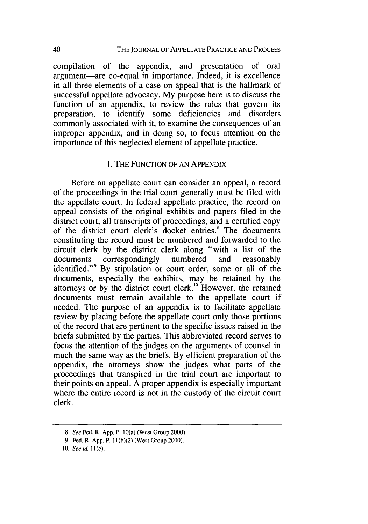compilation of the appendix, and presentation of oral argument-are co-equal in importance. Indeed, it is excellence in all three elements of a case on appeal that is the hallmark of successful appellate advocacy. My purpose here is to discuss the function of an appendix, to review the rules that govern its preparation, to identify some deficiencies and disorders commonly associated with it, to examine the consequences of an improper appendix, and in doing so, to focus attention on the importance of this neglected element of appellate practice.

#### I. THE FUNCTION OF AN APPENDIX

Before an appellate court can consider an appeal, a record of the proceedings in the trial court generally must be filed with the appellate court. In federal appellate practice, the record on appeal consists of the original exhibits and papers filed in the district court, all transcripts of proceedings, and a certified copy of the district court clerk's docket entries.<sup>8</sup> The documents constituting the record must be numbered and forwarded to the circuit clerk by the district clerk along "with a list of the documents correspondingly numbered and reasonably identified."<sup>9</sup> By stipulation or court order, some or all of the documents, especially the exhibits, may be retained by the attorneys or by the district court clerk.'0 However, the retained documents must remain available to the appellate court if needed. The purpose of an appendix is to facilitate appellate review by placing before the appellate court only those portions of the record that are pertinent to the specific issues raised in the briefs submitted by the parties. This abbreviated record serves to focus the attention of the judges on the arguments of counsel in much the same way as the briefs. By efficient preparation of the appendix, the attorneys show the judges what parts of the proceedings that transpired in the trial court are important to their points on appeal. A proper appendix is especially important where the entire record is not in the custody of the circuit court clerk.

*<sup>8.</sup>* See Fed. R. App. P. 10(a) (West Group 2000).

<sup>9.</sup> Fed. R. App. P. 1 l(b)(2) (West Group 2000).

*<sup>10.</sup>* See id. **I** *1* (e).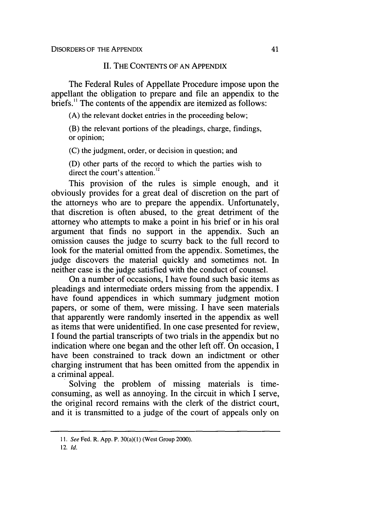#### **II.** THE CONTENTS OF AN APPENDIX

The Federal Rules of Appellate Procedure impose upon the appellant the obligation to prepare and file an appendix to the briefs.<sup>11</sup> The contents of the appendix are itemized as follows:

(A) the relevant docket entries in the proceeding below;

(B) the relevant portions of the pleadings, charge, findings, or opinion;

(C) the judgment, order, or decision in question; and

(D) other parts of the record to which the parties wish to direct the court's attention.<sup>12</sup>

This provision of the rules is simple enough, and it obviously provides for a great deal of discretion on the part of the attorneys who are to prepare the appendix. Unfortunately, that discretion is often abused, to the great detriment of the attorney who attempts to make a point in his brief or in his oral argument that finds no support in the appendix. Such an omission causes the judge to scurry back to the full record to look for the material omitted from the appendix. Sometimes, the judge discovers the material quickly and sometimes not. In neither case is the judge satisfied with the conduct of counsel.

On a number of occasions, I have found such basic items as pleadings and intermediate orders missing from the appendix. I have found appendices in which summary judgment motion papers, or some of them, were missing. I have seen materials that apparently were randomly inserted in the appendix as well as items that were unidentified. In one case presented for review, I found the partial transcripts of two trials in the appendix but no indication where one began and the other left off. On occasion, I have been constrained to track down an indictment or other charging instrument that has been omitted from the appendix in a criminal appeal.

Solving the problem of missing materials is timeconsuming, as well as annoying. In the circuit in which I serve, the original record remains with the clerk of the district court, and it is transmitted to a judge of the court of appeals only on

*<sup>11.</sup>* See Fed. R. App. P. 30(a)(1) (West Group 2000).

<sup>12.</sup> Id.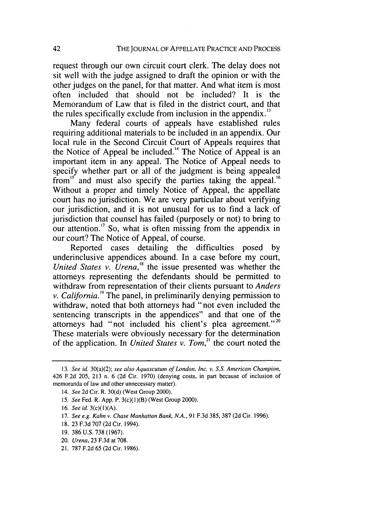request through our own circuit court clerk. The delay does not sit well with the judge assigned to draft the opinion or with the other judges on the panel, for that matter. And what item is most often included that should not be included? It is the Memorandum of Law that is filed in the district court, and that the rules specifically exclude from inclusion in the appendix.<sup>13</sup>

Many federal courts of appeals have established rules requiring additional materials to be included in an appendix. Our local rule in the Second Circuit Court of Appeals requires that the Notice of Appeal be included.<sup>14</sup> The Notice of Appeal is an important item in any appeal. The Notice of Appeal needs to specify whether part or all of the judgment is being appealed from<sup>15</sup> and must also specify the parties taking the appeal.<sup>16</sup> Without a proper and timely Notice of Appeal, the appellate court has no jurisdiction. We are very particular about verifying our jurisdiction, and it is not unusual for us to find a lack of jurisdiction that counsel has failed (purposely or not) to bring to our attention.<sup>17</sup> So, what is often missing from the appendix in our court? The Notice of Appeal, of course.

Reported cases detailing the difficulties posed by underinclusive appendices abound. In a case before my court, *United States v. Urena,'8* the issue presented was whether the attorneys representing the defendants should be permitted to withdraw from representation of their clients pursuant to *Anders v. California.9* The panel, in preliminarily denying permission to withdraw, noted that both attorneys had "not even included the sentencing transcripts in the appendices" and that one of the attorneys had "not included his client's plea agreement."<sup>20</sup> These materials were obviously necessary for the determination of the application. In *United States v. Tom,"* the court noted the

18. 23 F.3d 707 (2d Cir. 1994).

<sup>13.</sup> *See id.* 30(a)(2); *see also* Aquascutum of London, Inc. v. S.S. American Champion, 426 F.2d 205, 213 n. 6 (2d Cir. 1970) (denying costs, in part because of inclusion of memoranda of law and other unnecessary matter).

<sup>14.</sup> See 2d Cir. R. 30(d) (West Group 2000).

<sup>15.</sup> See Fed. R. App. P. 3(c)(1)(B) (West Group 2000).

<sup>16.</sup> *See* id. 3(c)(I)(A).

<sup>17.</sup> See e.g. Kahn v. Chase Manhattan Bank, N.A., 91 F.3d 385, 387 (2d Cir. 1996).

<sup>19. 386</sup> U.S. 738 (1967).

<sup>20.</sup> Urena, 23 F.3d at 708.

<sup>21. 787</sup> F.2d 65 (2d Cir. 1986).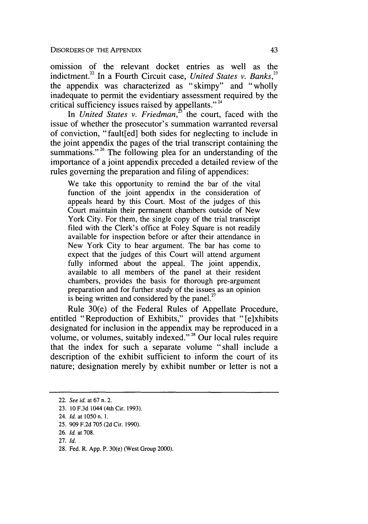omission of the relevant docket entries as well as the indictment.<sup>22</sup> In a Fourth Circuit case, *United States v. Banks*,<sup>23</sup> the appendix was characterized as "skimpy" and "wholly inadequate to permit the evidentiary assessment required by the critical sufficiency issues raised by appellants." $24$ 

In *United States v. Friedman*,<sup>3</sup> the court, faced with the issue of whether the prosecutor's summation warranted reversal of conviction, "fault[ed] both sides for neglecting to include in the joint appendix the pages of the trial transcript containing the summations."<sup>26</sup> The following plea for an understanding of the importance of a joint appendix preceded a detailed review of the rules governing the preparation and filing of appendices:

We take this opportunity to remind the bar of the vital function of the joint appendix in the consideration of appeals heard by this Court. Most of the judges of this Court maintain their permanent chambers outside of New York City. For them, the single copy of the trial transcript filed with the Clerk's office at Foley Square is not readily available for inspection before or after their attendance in New York City to hear argument. The bar has come to expect that the judges of this Court will attend argument fully informed about the appeal. The joint appendix, available to all members of the panel at their resident chambers, provides the basis for thorough pre-argument preparation and for further study of the issues as an opinion is being written and considered by the panel.<sup>27</sup>

Rule 30(e) of the Federal Rules of Appellate Procedure, entitled "Reproduction of Exhibits," provides that "[e]xhibits designated for inclusion in the appendix may be reproduced in a volume, or volumes, suitably indexed."28 Our local rules require that the index for such a separate volume "shall include a description of the exhibit sufficient to inform the court of its nature; designation merely by exhibit number or letter is not a

25. 909 F.2d 705 (2d Cir. 1990).

28. Fed. R. App. P. 30(e) (West Group 2000).

<sup>22.</sup> *See id.* at 67 n. 2.

<sup>23. 10</sup> F.3d 1044 (4th Cir. 1993).

<sup>24.</sup> **Id.** at 1050 n. **1.**

<sup>26.</sup> *Id.* at 708.

<sup>27.</sup> *Id.*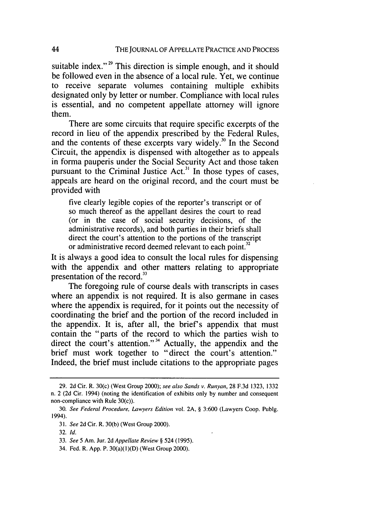suitable index." $2^9$  This direction is simple enough, and it should be followed even in the absence of a local rule. Yet, we continue to receive separate volumes containing multiple exhibits designated only by letter or number. Compliance with local rules is essential, and no competent appellate attorney will ignore them.

There are some circuits that require specific excerpts of the record in lieu of the appendix prescribed by the Federal Rules, and the contents of these excerpts vary widely.<sup>30</sup> In the Second Circuit, the appendix is dispensed with altogether as to appeals in forma pauperis under the Social Security Act and those taken pursuant to the Criminal Justice Act.<sup>31</sup> In those types of cases, appeals are heard on the original record, and the court must be provided with

five clearly legible copies of the reporter's transcript or of so much thereof as the appellant desires the court to read (or in the case of social security decisions, of the administrative records), and both parties in their briefs shall direct the court's attention to the portions of the transcript or administrative record deemed relevant to each point."

It is always a good idea to consult the local rules for dispensing with the appendix and other matters relating to appropriate presentation of the record.<sup>33</sup>

The foregoing rule of course deals with transcripts in cases where an appendix is not required. It is also germane in cases where the appendix is required, for it points out the necessity of coordinating the brief and the portion of the record included in the appendix. It is, after all, the brief's appendix that must contain the "parts of the record to which the parties wish to direct the court's attention."<sup>34</sup> Actually, the appendix and the brief must work together to "direct the court's attention." Indeed, the brief must include citations to the appropriate pages

<sup>29. 2</sup>d Cir. R. 30(c) (West Group 2000); *see also Sands v. Runyan,* 28 F.3d 1323, 1332 n. 2 (2d Cir. 1994) (noting the identification of exhibits only by number and consequent non-compliance with Rule 30(c)).

<sup>30.</sup> *See Federal Procedure, Lawyers Edition* vol. 2A, § 3:600 (Lawyers Coop. Publg. 1994).

<sup>31.</sup> *See* 2d Cir. R. 30(b) (West Group 2000).

<sup>32.</sup> *Id.*

<sup>33.</sup> *See* 5 Am. Jur. 2d *Appellate Review §* 524 (1995).

<sup>34.</sup> Fed. R. App. P. 30(a)(1)(D) (West Group 2000).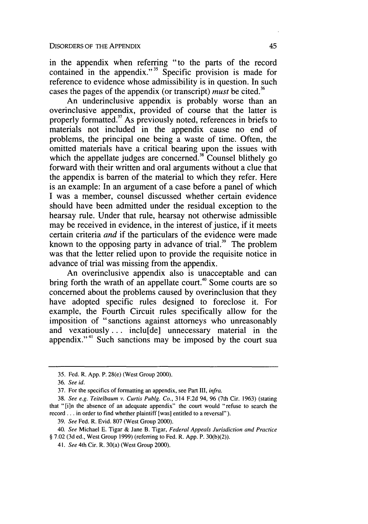in the appendix when referring "to the parts of the record contained in the appendix."<sup>35</sup> Specific provision is made for reference to evidence whose admissibility is in question. In such cases the pages of the appendix (or transcript) *must* be cited."

An underinclusive appendix is probably worse than an overinclusive appendix, provided of course that the latter is properly formatted. $37$  As previously noted, references in briefs to materials not included in the appendix cause no end of problems, the principal one being a waste of time. Often, the omitted materials have a critical bearing upon the issues with which the appellate judges are concerned.<sup>38</sup> Counsel blithely go forward with their written and oral arguments without a clue that the appendix is barren of the material to which they refer. Here is an example: In an argument of a case before a panel of which I was a member, counsel discussed whether certain evidence should have been admitted under the residual exception to the hearsay rule. Under that rule, hearsay not otherwise admissible may be received in evidence, in the interest of justice, if it meets certain criteria *and* if the particulars of the evidence were made known to the opposing party in advance of trial. $3<sup>9</sup>$  The problem was that the letter relied upon to provide the requisite notice in advance of trial was missing from the appendix.

An overinclusive appendix also is unacceptable and can bring forth the wrath of an appellate court.<sup>40</sup> Some courts are so concerned about the problems caused by overinclusion that they have adopted specific rules designed to foreclose it. For example, the Fourth Circuit rules specifically allow for the imposition of "sanctions against attorneys who unreasonably and vexatiously... inclu[de] unnecessary material in the appendix."<sup>41</sup> Such sanctions may be imposed by the court sua

<sup>35.</sup> Fed. R. App. P. 28(e) (West Group 2000).

<sup>36.</sup> *See* id.

<sup>37.</sup> For the specifics of formatting an appendix, see Part III, *infra.*

<sup>38.</sup> *See e.g. Teitelbaum v. Curtis Publg. Co.,* 314 F.2d 94, 96 (7th Cir. 1963) (stating that "[i]n the absence of an adequate appendix" the court would "refuse to search the record **...** in order to find whether plaintiff [was] entitled to a reversal").

<sup>39.</sup> *See* Fed. R. Evid. 807 (West Group 2000).

<sup>40.</sup> *See* Michael E. Tigar & Jane B. Tigar, *Federal Appeals Jurisdiction and Practice* § 7.02 (3d ed., West Group 1999) (referring to Fed. R. App. P. 30(b)(2)).

*<sup>41.</sup> See* 4th Cir. R. 30(a) (West Group 2000).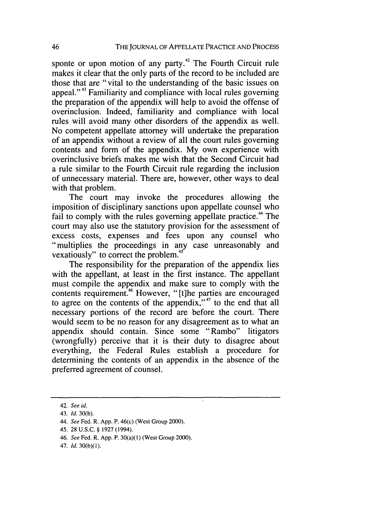sponte or upon motion of any party.<sup>42</sup> The Fourth Circuit rule makes it clear that the only parts of the record to be included are those that are "vital to the understanding of the basic issues on appeal."43 Familiarity and compliance with local rules governing the preparation of the appendix will help to avoid the offense of overinclusion. Indeed, familiarity and compliance with local rules will avoid many other disorders of the appendix as well. No competent appellate attorney will undertake the preparation of an appendix without a review of all the court rules governing contents and form of the appendix. My own experience with overinclusive briefs makes me wish that the Second Circuit had a rule similar to the Fourth Circuit rule regarding the inclusion of unnecessary material. There are, however, other ways to deal with that problem.

The court may invoke the procedures allowing the imposition of disciplinary sanctions upon appellate counsel who fail to comply with the rules governing appellate practice.<sup>44</sup> The court may also use the statutory provision for the assessment of excess costs, expenses and fees upon any counsel who "multiplies the proceedings in any case unreasonably and vexatiously" to correct the problem.<sup>45</sup>

The responsibility for the preparation of the appendix lies with the appellant, at least in the first instance. The appellant must compile the appendix and make sure to comply with the contents requirement.<sup>46</sup> However, "[t]he parties are encouraged to agree on the contents of the appendix," $47$  to the end that all necessary portions of the record are before the court. There would seem to be no reason for any disagreement as to what an appendix should contain. Since some "Rambo" litigators (wrongfully) perceive that it is their duty to disagree about everything, the Federal Rules establish a procedure for determining the contents of an appendix in the absence of the preferred agreement of counsel.

<sup>42.</sup> See id.

<sup>43.</sup> Id. 30(b).

<sup>44.</sup> See Fed. R. App. P. 46(c) (West Group 2000).

<sup>45. 28</sup> U.S.C. § 1927 (1994).

<sup>46.</sup> See Fed. R. App. P. 30(a)(I) (West Group 2000).

<sup>47.</sup> Id. 30(b)(I).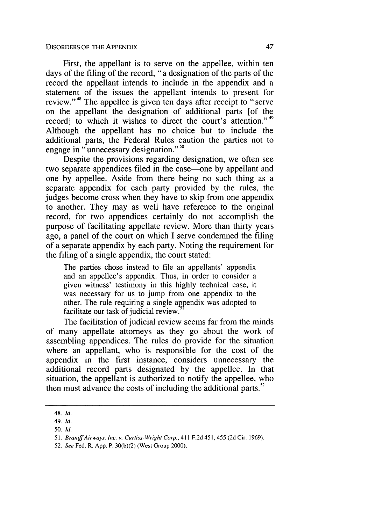First, the appellant is to serve on the appellee, within ten days of the filing of the record, "a designation of the parts of the record the appellant intends to include in the appendix and a statement of the issues the appellant intends to present for review."<sup>48</sup> The appellee is given ten days after receipt to "serve" on the appellant the designation of additional parts [of the record] to which it wishes to direct the court's attention."<sup>49</sup> Although the appellant has no choice but to include the additional parts, the Federal Rules caution the parties not to engage in "unnecessary designation." **<sup>50</sup>**

Despite the provisions regarding designation, we often see two separate appendices filed in the case—one by appellant and one by appellee. Aside from there being no such thing as a separate appendix for each party provided by the rules, the judges become cross when they have to skip from one appendix to another. They may as well have reference to the original record, for two appendices certainly do not accomplish the purpose of facilitating appellate review. More than thirty years ago, a panel of the court on which I serve condemned the filing of a separate appendix by each party. Noting the requirement for the filing of a single appendix, the court stated:

The parties chose instead to file an appellants' appendix and an appellee's appendix. Thus, in order to consider a given witness' testimony in this highly technical case, it was necessary for us to jump from one appendix to the other. The rule requiring a single appendix was adopted to facilitate our task of judicial review.

The facilitation of judicial review seems far from the minds of many appellate attorneys as they go about the work of assembling appendices. The rules do provide for the situation where an appellant, who is responsible for the cost of the appendix in the first instance, considers unnecessary the additional record parts designated by the appellee. In that situation, the appellant is authorized to notify the appellee, who then must advance the costs of including the additional parts.<sup>52</sup>

52. *See* Fed. R. **App.** P. **30(b)(2)** (West Group 2000).

<sup>48.</sup> **Id.**

<sup>49.</sup> **Id.**

<sup>50.</sup> **Id.**

**<sup>51.</sup>** *Braniff Airways, Inc. v.* Curtiss-Wright Corp., 411 F.2d 451, 455 (2d Cir. 1969).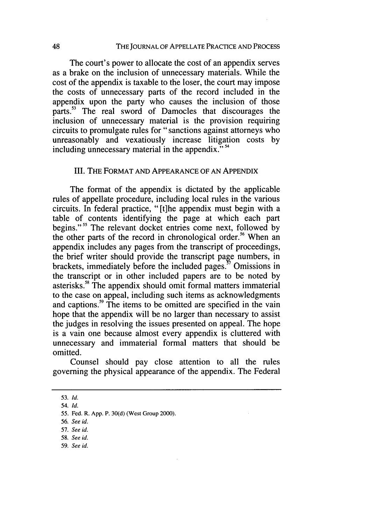**THE JOURNAL OF APPELLATE PRACTICE AND PROCESS**

The court's power to allocate the cost of an appendix serves as a brake on the inclusion of unnecessary materials. While the cost of the appendix is taxable to the loser, the court may impose the costs of unnecessary parts of the record included in the appendix upon the party who causes the inclusion of those parts.<sup>53</sup> The real sword of Damocles that discourages the inclusion of unnecessary material is the provision requiring circuits to promulgate rules for "sanctions against attorneys who unreasonably and vexatiously increase litigation costs by including unnecessary material in the appendix." <sup>54</sup>

#### III. THE FORMAT **AND APPEARANCE** OF **AN APPENDIX**

The format of the appendix is dictated by the applicable rules of appellate procedure, including local rules in the various circuits. In federal practice, "[t]he appendix must begin with a table of contents identifying the page at which each part begins."<sup>55</sup> The relevant docket entries come next, followed by the other parts of the record in chronological order.<sup>56</sup> When an appendix includes any pages from the transcript of proceedings, the brief writer should provide the transcript page numbers, in brackets, immediately before the included pages. $\frac{5}{2}$  Omissions in the transcript or in other included papers are to be noted by asterisks.<sup>58</sup> The appendix should omit formal matters immaterial to the case on appeal, including such items as acknowledgments and captions.<sup>59</sup> The items to be omitted are specified in the vain hope that the appendix will be no larger than necessary to assist the judges in resolving the issues presented on appeal. The hope is a vain one because almost every appendix is cluttered with unnecessary and immaterial formal matters that should be omitted.

Counsel should pay close attention to all the rules governing the physical appearance of the appendix. The Federal

- **58.** *See* id.
- 59. *See id.*

**<sup>53.</sup>** Id.

<sup>54.</sup> Id.

<sup>55.</sup> Fed. R. App. P. 30(d) (West Group 2000).

<sup>56.</sup> *See id.*

<sup>57.</sup> *See id.*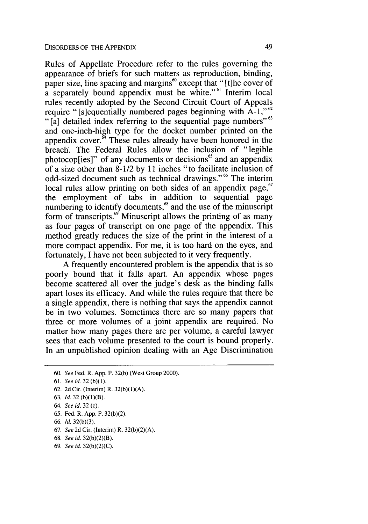Rules of Appellate Procedure refer to the rules governing the appearance of briefs for such matters as reproduction, binding, paper size, line spacing and margins<sup>60</sup> except that "[t]he cover of  $\alpha$  separately bound appendix must be white."<sup>61</sup> Interim local rules recently adopted by the Second Circuit Court of Appeals require "[s]equentially numbered pages beginning with A-1,"<sup>62</sup> "[a] detailed index referring to the sequential page numbers"<sup>63</sup> and one-inch-high type for the docket number printed on the appendix cover. $64$  These rules already have been honored in the breach. The Federal Rules allow the inclusion of "legible photocop[ies]" of any documents or decisions<sup>65</sup> and an appendix of a size other than 8-1/2 by 11 inches "to facilitate inclusion of odd-sized document such as technical drawings."<sup>66</sup> The interim local rules allow printing on both sides of an appendix page,  $67$ the employment of tabs in addition to sequential page numbering to identify documents,<sup>68</sup> and the use of the minuscript form of transcripts.<sup> $\omega$ </sup> Minuscript allows the printing of as many as four pages of transcript on one page of the appendix. This method greatly reduces the size of the print in the interest of a more compact appendix. For me, it is too hard on the eyes, and fortunately, I have not been subjected to it very frequently.

A frequently encountered problem is the appendix that is so poorly bound that it falls apart. An appendix whose pages become scattered all over the judge's desk as the binding falls apart loses its efficacy. And while the rules require that there be a single appendix, there is nothing that says the appendix cannot be in two volumes. Sometimes there are so many papers that three or more volumes of a joint appendix are required. No matter how many pages there are per volume, a careful lawyer sees that each volume presented to the court is bound properly. In an unpublished opinion dealing with an Age Discrimination

- **66.** *Id.* **32(b)(3).**
- **67.** See **2d** Cir. (Interim) R. **32(b)(2)(A).**
- **68.** See id. **32(b)(2)(B).**
- **69.** *See id.* **32(b)(2)(C).**

<sup>60.</sup> *See* Fed. R. App. P. 32(b) (West Group 2000).

<sup>61.</sup> *See id.* 32 (b)(1).

<sup>62. 2</sup>d Cir. (Interim) R. 32(b)(I)(A).

<sup>63.</sup> *Id.* **32 (b)(l)(B).**

<sup>64.</sup> See id. **32** (c).

**<sup>65.</sup>** Fed. R. **App.** P. **32(b)(2).**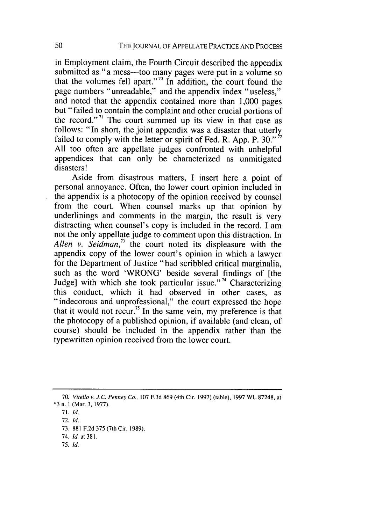in Employment claim, the Fourth Circuit described the appendix submitted as "a mess---too many pages were put in a volume so that the volumes fell apart."<sup>70</sup> In addition, the court found the page numbers "unreadable," and the appendix index "useless," and noted that the appendix contained more than 1,000 pages but "failed to contain the complaint and other crucial portions of the record."<sup> $71$ </sup> The court summed up its view in that case as follows: "In short, the joint appendix was a disaster that utterly failed to comply with the letter or spirit of Fed. R. App. P. 30." $\frac{5}{2}$ All too often are appellate judges confronted with unhelpful appendices that can only be characterized as unmitigated disasters!

Aside from disastrous matters, I insert here a point of personal annoyance. Often, the lower court opinion included in the appendix is a photocopy of the opinion received by counsel from the court. When counsel marks up that opinion by underlinings and comments in the margin, the result is very distracting when counsel's copy is included in the record. I am not the only appellate judge to comment upon this distraction. In Allen v. Seidman,<sup>73</sup> the court noted its displeasure with the appendix copy of the lower court's opinion in which a lawyer for the Department of Justice "had scribbled critical marginalia, such as the word 'WRONG' beside several findings of [the Judge] with which she took particular issue."<sup>74</sup> Characterizing this conduct, which it had observed in other cases, as "indecorous and unprofessional," the court expressed the hope that it would not recur.<sup>75</sup> In the same vein, my preference is that the photocopy of a published opinion, if available (and clean, of course) should be included in the appendix rather than the typewritten opinion received from the lower court.

73. 881 F.2d 375 (7th Cir. 1989).

75. *Id.*

<sup>70.</sup> *Vitello v. J.C. Penney Co.,* 107 F.3d 869 (4th Cir. 1997) (table), 1997 WL 87248, at \*3 n. **I** (Mar. 3, 1977).

<sup>71.</sup> *Id.*

<sup>72.</sup> *Id.*

<sup>74.</sup> *Id.* at 381.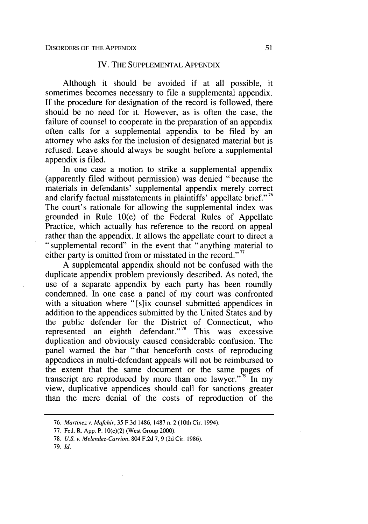#### IV. THE SUPPLEMENTAL APPENDIX

Although it should be avoided if at all possible, it sometimes becomes necessary to file a supplemental appendix. If the procedure for designation of the record is followed, there should be no need for it. However, as is often the case, the failure of counsel to cooperate in the preparation of an appendix often calls for a supplemental appendix to be filed by an attorney who asks for the inclusion of designated material but is refused. Leave should always be sought before a supplemental appendix is filed.

In one case a motion to strike a supplemental appendix (apparently filed without permission) was denied "because the materials in defendants' supplemental appendix merely correct and clarify factual misstatements in plaintiffs' appellate brief."<sup>76</sup> The court's rationale for allowing the supplemental index was grounded in Rule 10(e) of the Federal Rules of Appellate Practice, which actually has reference to the record on appeal rather than the appendix. It allows the appellate court to direct a "supplemental record" in the event that "anything material to either party is omitted from or misstated in the record."<sup>77</sup>

A supplemental appendix should not be confused with the duplicate appendix problem previously described. As noted, the use of a separate appendix by each party has been roundly condemned. In one case a panel of my court was confronted with a situation where "[s]ix counsel submitted appendices in addition to the appendices submitted by the United States and by the public defender for the District of Connecticut, who represented an eighth defendant."<sup>78</sup> This was excessive duplication and obviously caused considerable confusion. The panel warned the bar "that henceforth costs of reproducing appendices in multi-defendant appeals will not be reimbursed to the extent that the same document or the same pages of transcript are reproduced by more than one lawyer."<sup>79</sup> In my view, duplicative appendices should call for sanctions greater than the mere denial of the costs of reproduction of the

79. *Id.*

*<sup>76.</sup> Martinez v. Mafchir,* 35 F.3d 1486, 1487 n. 2 (10th Cir. 1994).

<sup>77.</sup> Fed. R. App. P. 10(e)(2) (West Group 2000).

<sup>78.</sup> *U.S. v. Melendez-Carrion,* 804 F.2d 7, 9 (2d Cir. 1986).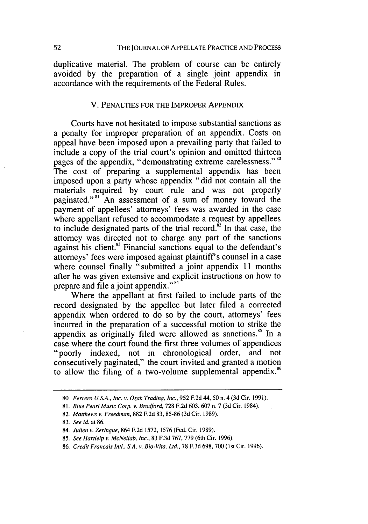duplicative material. The problem of course can be entirely avoided by the preparation of a single joint appendix in accordance with the requirements of the Federal Rules.

#### V. **PENALTIES** FOR THE IMPROPER **APPENDIX**

Courts have not hesitated to impose substantial sanctions as a penalty for improper preparation of an appendix. Costs on appeal have been imposed upon a prevailing party that failed to include a copy of the trial court's opinion and omitted thirteen pages of the appendix, "demonstrating extreme carelessness."<sup>80</sup> The cost of preparing a supplemental appendix has been imposed upon a party whose appendix "did not contain all the materials required **by** court rule and was not properly paginated."<sup>81</sup> An assessment of a sum of money toward the payment of appellees' attorneys' fees was awarded in the case where appellant refused to accommodate a request by appellees to include designated parts of the trial record. $^{62}$  In that case, the attorney was directed not to charge any part of the sanctions against his client.<sup>83</sup> Financial sanctions equal to the defendant's attorneys' fees were imposed against plaintiff's counsel in a case where counsel finally "submitted a joint appendix 11 months after he was given extensive and explicit instructions on how to prepare and file a joint appendix."<sup>84</sup>

Where the appellant at first failed to include parts of the record designated by the appellee but later filed a corrected appendix when ordered to do so by the court, attorneys' fees incurred in the preparation of a successful motion to strike the appendix as originally filed were allowed as sanctions.<sup>85</sup> In a case where the court found the first three volumes of appendices "poorly indexed, not in chronological order, and not consecutively paginated," the court invited and granted a motion to allow the filing of a two-volume supplemental appendix.<sup>86</sup>

<sup>80.</sup> *Ferrero U.S.A., Inc. v. Ozak Trading, Inc.,* 952 F.2d 44, **50** n. 4 (3d Cir. 1991).

<sup>81.</sup> Blue Pearl Music Corp. *v.* Bradford, 728 F.2d 603, 607 n. 7 (3d Cir. 1984).

<sup>82.</sup> Matthews v. Freedman, 882 F.2d 83, 85-86 (3d Cir. 1989).

<sup>83.</sup> See id. at 86.

<sup>84.</sup> Julien *v.* Zeringue, 864 F.2d 1572, 1576 (Fed. Cir. 1989).

<sup>85.</sup> See Hartleip v. McNeilab, Inc., 83 F.3d 767, 779 (6th Cir. 1996).

<sup>86.</sup> Credit Francais Intl., S.A. v. Bio-Vita, Ltd., 78 F.3d 698, 700 (1st Cir. 1996).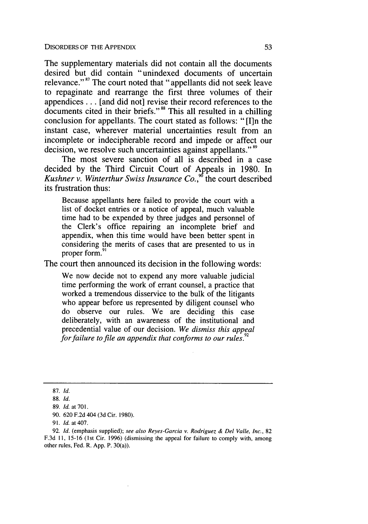DISORDERS OF THE APPENDIX

The supplementary materials did not contain all the documents desired but did contain "unindexed documents of uncertain relevance."<sup>87</sup> The court noted that "appellants did not seek leave to repaginate and rearrange the first three volumes of their appendices... [and did not] revise their record references to the documents cited in their briefs."<sup>88</sup> This all resulted in a chilling conclusion for appellants. The court stated as follows: "[I]n the instant case, wherever material uncertainties result from an incomplete or indecipherable record and impede or affect our decision, we resolve such uncertainties against appellants."<sup>89</sup>

The most severe sanction of all is described in a case decided by the Third Circuit Court of Appeals in 1980. In *Kushner v. Winterthur Swiss Insurance Co.*<sup>96</sup> the court described its frustration thus:

Because appellants here failed to provide the court with a list of docket entries or a notice of appeal, much valuable time had to be expended by three judges and personnel of the Clerk's office repairing an incomplete brief and appendix, when this time would have been better spent in considering the merits of cases that are presented to us in proper form.<sup>91</sup>

The court then announced its decision in the following words:

We now decide not to expend any more valuable judicial time performing the work of errant counsel, a practice that worked a tremendous disservice to the bulk of the litigants who appear before us represented by diligent counsel who do observe our rules. We are deciding this case deliberately, with an awareness of the institutional and precedential value of our decision. *We dismiss this appeal for failure to file an appendix that conforms to our rules."*

87. *Id.*

92. *Id.* (emphasis supplied); see also *Reyes-Garcia v. Rodriguez & Del Valle, Inc.,* <sup>82</sup> F.3d **11,** 15-16 (1st Cir. 1996) (dismissing the appeal for failure to comply with, among other rules, Fed. R. App. P. 30(a)).

<sup>88.</sup> Id.

<sup>89.</sup> *Id.* at **701.**

<sup>90. 620</sup> F.2d 404 (3d Cir. 1980).

<sup>91.</sup> *Id.* at 407.